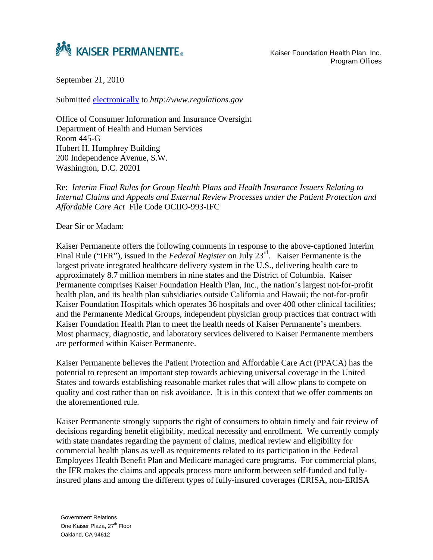

Program Offices

September 21, 2010

Submitted electronically to *http://www.regulations.gov*

Office of Consumer Information and Insurance Oversight Department of Health and Human Services Room 445-G Hubert H. Humphrey Building 200 Independence Avenue, S.W. Washington, D.C. 20201

Re: *Interim Final Rules for Group Health Plans and Health Insurance Issuers Relating to Internal Claims and Appeals and External Review Processes under the Patient Protection and Affordable Care Act* File Code OCIIO-993-IFC

Dear Sir or Madam:

Kaiser Permanente offers the following comments in response to the above-captioned Interim Final Rule ("IFR"), issued in the *Federal Register* on July 23rd. Kaiser Permanente is the largest private integrated healthcare delivery system in the U.S., delivering health care to approximately 8.7 million members in nine states and the District of Columbia. Kaiser Permanente comprises Kaiser Foundation Health Plan, Inc., the nation's largest not-for-profit health plan, and its health plan subsidiaries outside California and Hawaii; the not-for-profit Kaiser Foundation Hospitals which operates 36 hospitals and over 400 other clinical facilities; and the Permanente Medical Groups, independent physician group practices that contract with Kaiser Foundation Health Plan to meet the health needs of Kaiser Permanente's members. Most pharmacy, diagnostic, and laboratory services delivered to Kaiser Permanente members are performed within Kaiser Permanente.

Kaiser Permanente believes the Patient Protection and Affordable Care Act (PPACA) has the potential to represent an important step towards achieving universal coverage in the United States and towards establishing reasonable market rules that will allow plans to compete on quality and cost rather than on risk avoidance. It is in this context that we offer comments on the aforementioned rule.

Kaiser Permanente strongly supports the right of consumers to obtain timely and fair review of decisions regarding benefit eligibility, medical necessity and enrollment. We currently comply with state mandates regarding the payment of claims, medical review and eligibility for commercial health plans as well as requirements related to its participation in the Federal Employees Health Benefit Plan and Medicare managed care programs. For commercial plans, the IFR makes the claims and appeals process more uniform between self-funded and fullyinsured plans and among the different types of fully-insured coverages (ERISA, non-ERISA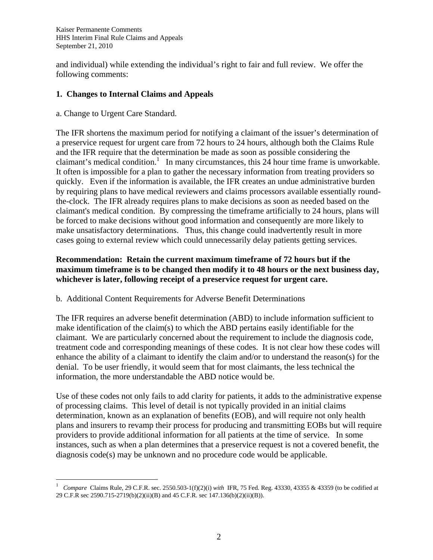Kaiser Permanente Comments HHS Interim Final Rule Claims and Appeals September 21, 2010

and individual) while extending the individual's right to fair and full review. We offer the following comments:

## **1. Changes to Internal Claims and Appeals**

a. Change to Urgent Care Standard.

 $\overline{a}$ 

The IFR shortens the maximum period for notifying a claimant of the issuer's determination of a preservice request for urgent care from 72 hours to 24 hours, although both the Claims Rule and the IFR require that the determination be made as soon as possible considering the claimant's medical condition.<sup>1</sup> In many circumstances, this  $24$  hour time frame is unworkable. It often is impossible for a plan to gather the necessary information from treating providers so quickly. Even if the information is available, the IFR creates an undue administrative burden by requiring plans to have medical reviewers and claims processors available essentially roundthe-clock. The IFR already requires plans to make decisions as soon as needed based on the claimant's medical condition. By compressing the timeframe artificially to 24 hours, plans will be forced to make decisions without good information and consequently are more likely to make unsatisfactory determinations. Thus, this change could inadvertently result in more cases going to external review which could unnecessarily delay patients getting services.

# **Recommendation: Retain the current maximum timeframe of 72 hours but if the maximum timeframe is to be changed then modify it to 48 hours or the next business day, whichever is later, following receipt of a preservice request for urgent care.**

# b. Additional Content Requirements for Adverse Benefit Determinations

The IFR requires an adverse benefit determination (ABD) to include information sufficient to make identification of the claim(s) to which the ABD pertains easily identifiable for the claimant. We are particularly concerned about the requirement to include the diagnosis code, treatment code and corresponding meanings of these codes. It is not clear how these codes will enhance the ability of a claimant to identify the claim and/or to understand the reason(s) for the denial. To be user friendly, it would seem that for most claimants, the less technical the information, the more understandable the ABD notice would be.

Use of these codes not only fails to add clarity for patients, it adds to the administrative expense of processing claims. This level of detail is not typically provided in an initial claims determination, known as an explanation of benefits (EOB), and will require not only health plans and insurers to revamp their process for producing and transmitting EOBs but will require providers to provide additional information for all patients at the time of service. In some instances, such as when a plan determines that a preservice request is not a covered benefit, the diagnosis code(s) may be unknown and no procedure code would be applicable.

<sup>1</sup> *Compare* Claims Rule, 29 C.F.R. sec. 2550.503-1(f)(2)(i) *with* IFR, 75 Fed. Reg. 43330, 43355 & 43359 (to be codified at 29 C.F.R sec 2590.715-2719(b)(2)(ii)(B) and 45 C.F.R. sec 147.136(b)(2)(ii)(B)).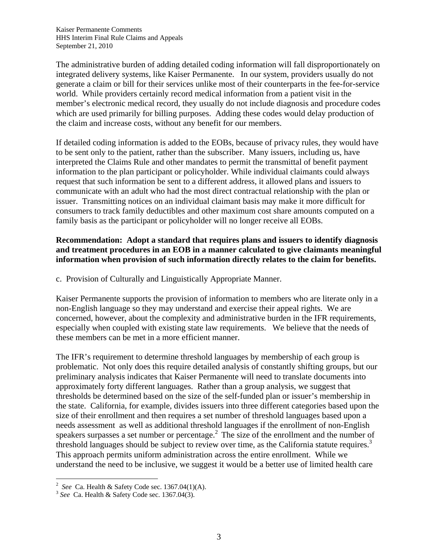The administrative burden of adding detailed coding information will fall disproportionately on integrated delivery systems, like Kaiser Permanente. In our system, providers usually do not generate a claim or bill for their services unlike most of their counterparts in the fee-for-service world. While providers certainly record medical information from a patient visit in the member's electronic medical record, they usually do not include diagnosis and procedure codes which are used primarily for billing purposes. Adding these codes would delay production of the claim and increase costs, without any benefit for our members.

If detailed coding information is added to the EOBs, because of privacy rules, they would have to be sent only to the patient, rather than the subscriber. Many issuers, including us, have interpreted the Claims Rule and other mandates to permit the transmittal of benefit payment information to the plan participant or policyholder. While individual claimants could always request that such information be sent to a different address, it allowed plans and issuers to communicate with an adult who had the most direct contractual relationship with the plan or issuer. Transmitting notices on an individual claimant basis may make it more difficult for consumers to track family deductibles and other maximum cost share amounts computed on a family basis as the participant or policyholder will no longer receive all EOBs.

# **Recommendation: Adopt a standard that requires plans and issuers to identify diagnosis and treatment procedures in an EOB in a manner calculated to give claimants meaningful information when provision of such information directly relates to the claim for benefits.**

c. Provision of Culturally and Linguistically Appropriate Manner.

Kaiser Permanente supports the provision of information to members who are literate only in a non-English language so they may understand and exercise their appeal rights. We are concerned, however, about the complexity and administrative burden in the IFR requirements, especially when coupled with existing state law requirements. We believe that the needs of these members can be met in a more efficient manner.

The IFR's requirement to determine threshold languages by membership of each group is problematic. Not only does this require detailed analysis of constantly shifting groups, but our preliminary analysis indicates that Kaiser Permanente will need to translate documents into approximately forty different languages. Rather than a group analysis, we suggest that thresholds be determined based on the size of the self-funded plan or issuer's membership in the state. California, for example, divides issuers into three different categories based upon the size of their enrollment and then requires a set number of threshold languages based upon a needs assessment as well as additional threshold languages if the enrollment of non-English speakers surpasses a set number or percentage.<sup>2</sup> The size of the enrollment and the number of threshold languages should be subject to review over time, as the California statute requires.<sup>3</sup> This approach permits uniform administration across the entire enrollment. While we understand the need to be inclusive, we suggest it would be a better use of limited health care

 $\frac{1}{2}$ 

<sup>&</sup>lt;sup>3</sup> See Ca. Health & Safety Code sec. 1367.04(3).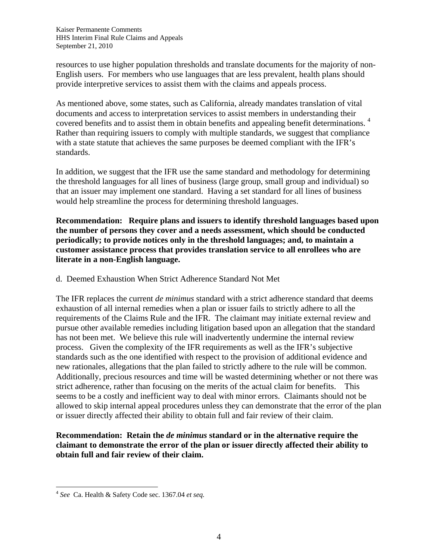resources to use higher population thresholds and translate documents for the majority of non-English users. For members who use languages that are less prevalent, health plans should provide interpretive services to assist them with the claims and appeals process.

As mentioned above, some states, such as California, already mandates translation of vital documents and access to interpretation services to assist members in understanding their covered benefits and to assist them in obtain benefits and appealing benefit determinations.<sup>4</sup> Rather than requiring issuers to comply with multiple standards, we suggest that compliance with a state statute that achieves the same purposes be deemed compliant with the IFR's standards.

In addition, we suggest that the IFR use the same standard and methodology for determining the threshold languages for all lines of business (large group, small group and individual) so that an issuer may implement one standard. Having a set standard for all lines of business would help streamline the process for determining threshold languages.

**Recommendation: Require plans and issuers to identify threshold languages based upon the number of persons they cover and a needs assessment, which should be conducted periodically; to provide notices only in the threshold languages; and, to maintain a customer assistance process that provides translation service to all enrollees who are literate in a non-English language.** 

d. Deemed Exhaustion When Strict Adherence Standard Not Met

The IFR replaces the current *de minimus* standard with a strict adherence standard that deems exhaustion of all internal remedies when a plan or issuer fails to strictly adhere to all the requirements of the Claims Rule and the IFR. The claimant may initiate external review and pursue other available remedies including litigation based upon an allegation that the standard has not been met. We believe this rule will inadvertently undermine the internal review process. Given the complexity of the IFR requirements as well as the IFR's subjective standards such as the one identified with respect to the provision of additional evidence and new rationales, allegations that the plan failed to strictly adhere to the rule will be common. Additionally, precious resources and time will be wasted determining whether or not there was strict adherence, rather than focusing on the merits of the actual claim for benefits. This seems to be a costly and inefficient way to deal with minor errors. Claimants should not be allowed to skip internal appeal procedures unless they can demonstrate that the error of the plan or issuer directly affected their ability to obtain full and fair review of their claim.

**Recommendation: Retain the** *de minimus* **standard or in the alternative require the claimant to demonstrate the error of the plan or issuer directly affected their ability to obtain full and fair review of their claim.** 

 $\overline{a}$ 

<sup>4</sup> *See* Ca. Health & Safety Code sec. 1367.04 *et seq.*